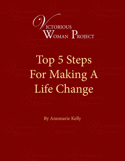# /<br>ICTORIOUS WOMAN PROJECT

# Top 5 Steps For Making A Life Change

By Annmarie Kelly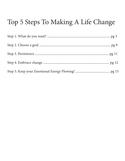### Top 5 Steps To Making A Life Change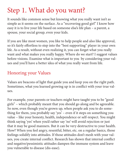# Step 1. What do you want?

It sounds like common sense but knowing what you really want isn't as simple as it seems on the surface. As a "recovering good girl" I know how easy it is to live your life based on someone else's life plan – a parent, a spouse, your social group, even your kids.

If you are like most women, you like to help people and also like approval, so it's fairly effortless to step into the "best supporting" player in your own life. As a result, without even realizing it, you can forget what you really want and what makes you really happy. Where do we start? I suggest values before visions. Examine what is important to you by considering your values and you'll have a better idea of what you really want from life.

### Honoring your Values

Values are beacons of light that guide you and keep you on the right path. Sometimes, what you learned growing up is in conflict with your true values.

For example, your parents or teachers might have taught you to be "good girls" – which probably meant that you should go along and be agreeable. So now, even though you're grown up, when people ask you to do something for them, you probably say 'yes' – even if it steps on something you value – like your honesty, health, independence or self-respect. You might think saying 'yes' when you'd rather say 'no' will avoid rejection or just that it may be good manners. But it can be very destructive to your health. How? When you feel angry, resentful, bitter, etc. on a regular basics, those feelings solidify into attitudes. If those attitudes don't mesh with your values, you create internal conflict. Research has shown that internal conflict and negative/pessimistic attitudes dampen the immune system and leave you vulnerable to disease (dis-ease).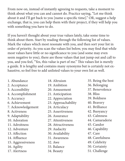From now on, instead of instantly agreeing to requests, take a moment to think about what you can and cannot do. Practice saying, "Let me think about it and I'll get back to you [name a specific time]." OR, suggest a help exchange, that is, you can help them with their project, if they will help you with something you have to do.

If you haven't thought about your true values lately, take some time to think about them. Start by reading through the following list of values. Mark the values which most resonate with you, and then sort your list in order of priority. As you scan the values list below, you may find that while most values have little or no significance to you (and some may even seem negative to you), there are those values that just jump out and call to you, and you feel, "Yes, this value is part of me." This values list is merely a guide. It is lengthy and contains many synonyms but is certainly not exhaustive, so feel free to add unlisted values to your own list as well.

- 1. Abundance
- 2. Acceptance
- 3. Accessibility
- 4. Accomplishment
- 5. Accuracy
- 6. Achievement
- 7. Acknowledgement
- 8. Activeness
- 9. Adaptability
- 10. Adoration
- 11. Adroitness
- 12. Adventure
- 13. Affection
- 14. Affluence
- 15. Aggressiveness
- 16. Agility
- 17. Alertness
- 18. Altruism
- 19. Ambition
- 20. Amusement
- 21. Anticipation
- 22. Appreciation
- 23. Approachability
- 24. Articulacy
- 25. Assertiveness
- 26. Assurance
- 27. Attentiveness
- 28. Attractiveness
- 29. Audacity
- 30. Availability
- 31. Awareness
- 32. Awe
- 33. Balance
- 34. Beauty
- 35. Being the best
- 36. Belonging
- 37. Benevolence
- 38. Bliss
- 39. Boldness
- 40. Bravery
- 41. Brilliance
- 42. Buoyancy
- 43. Calmness
- 44. Camaraderie
- 45. Candor
- 46. Capability
- 47. Care
- 48. Carefulness
- 49. Celebrity
- 50. Certainty
- 51. Challenge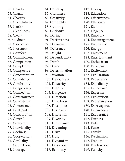52. Charity 53. Charm 54. Chastity 55. Cheerfulness 56. Clarity 57. Cleanliness 58. Clearmindedness 59. Cleverness 60. Closeness 61. Comfort 62. Commitment 63. Compassion 64. Completion 65. Composure 66. Concentration 67. Confidence 68. Conformity 69. Congruency 70. Connection 71. Consciousness 72. Consistency 73. Contentment 74. Continuity 75. Contribution 76. Control 77. Conviction 78. Conviviality 79. Coolness 80. Cooperation 81. Cordiality 82. Correctness 83. Courage

84. Courtesy 85. Craftiness 86. Creativity 87. Credibility 88. Cunning 89. Curiosity 90. Daring 91. Decisiveness 92. Decorum 93. Deference 94. Delight 95. Dependability 96. Depth 97. Desire 98. Determination 99. Devotion 100. Devoutness 101. Dexterity 102. Dignity 103. Diligence 104. Direction 105. Directness 106. Discipline 107. Discovery 108. Discretion 109. Diversity 110. Dominance 111. Dreaming 112. Drive 113. Duty 114. Dynamism 115. Eagerness 116. Economy

117. Ecstasy 118. Education 119. Effectiveness 120. Efficiency 121. Elation 122. Elegance 123. Empathy 124. Encouragement 125. Endurance 126. Energy 127. Enjoyment 128. Entertainment 129. Enthusiasm 130. Excellence 131. Excitement 132. Exhilaration 133. Expectancy 134. Expediency 135. Experience 136. Expertise 137. Exploration 138. Expressiveness 139. Extravagance 140. Extroversion 141. Exuberance 142. Fairness 143. Faith 144. Fame 145. Family 146. Fascination 147. Fashion 148. Fearlessness 149. Ferocity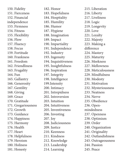150. Fidelity 151. Fierceness 152. Financial independence 153. Firmness 154. Fitness 155. Flexibility 156. Flow 157. Fluency 158. Focus 159. Fortitude 160. Frankness 161. Freedom 162. Friendliness 163. Frugality 164. Fun 165. Gallantry 166. Generosity 167. Gentility 168. Giving 169. Grace 170. Gratitude 171. Gregariousness 172. Growth 173. Guidance 174. Happiness 175. Harmony 176. Health 177. Heart 178. Helpfulness 179. Heroism 180. Holiness 181. Honesty

182. Honor 183. Hopefulness 184. Hospitality 185. Humility 186. Humor 187. Hygiene 188. Imagination 189. Impact 190. Impartiality 191. Independence 192. Industry 193. Ingenuity 194. Inquisitiveness 195. Insightfulness 196. Inspiration 197. Integrity 198. Intelligence 199.Intensity 200. Intimacy 201. Intrepidness 202. Introversion 203. Intuition 204. Intuitiveness 205. Inventiveness 206. Investing 207. Joy 208. Judiciousness 209. Justice 210. Keenness 211. Kindness 212. Knowledge 213. Leadership 214. Learning

215. Liberation 216. Liberty 217. Liveliness 218. Logic 219. Longevity 220. Love 221. Loyalty 222. Majesty 223. Making a difference 224. Mastery 225. Maturity 226. Meekness 227. Mellowness 228. Meticulousness 229. Mindfulness 230. Modesty 231. Motivation 232. Mysteriousness 233. Neatness 234. Nerve 235. Obedience 236. Openmindedness 237. Openness 238. Optimism 239. Order 240. Organization 241. Originality 242. Outlandishness 243. Outrageousness 244. Passion 245. Peace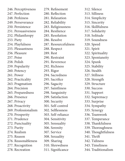246. Perceptiveness 247. Perfection 248. Perkiness 249. Perseverance 250. Persistence 251. Persuasiveness 252. Philanthropy 253. Piety 254. Playfulness 255. Pleasantness 256. Pleasure 257. Poise 258. Polish 259. Popularity 260. Potency 261. Power 262. Practicality 263. Pragmatism 264. Precision 265. Preparedness 266. Presence 267. Privacy 268. Proactivity 269. Professionalism 270. Prosperity 271. Prudence 272. Punctuality 273. Purity 274. Realism 275. Reason 276. Reasonableness 277. Recognition 278. Recreation

279. Refinement 280. Reflection 281. Relaxation 282. Reliability 283. Religiousness 284. Resilience 285. Resolution 286. Resolve 287. Resourcefulness 288. Respect 289. Rest 290. Restraint 291. Reverence 292. Richness 293. Rigor 294. Sacredness 295. Sacrifice 296. Sagacity 297. Saintliness 298. Sanguinity 299. Satisfaction 300. Security 301. Self-control 302. Selflessness 303. Self-reliance 304. Sensitivity 305. Sensuality 306. Serenity 307. Service 308. Sexuality 309. Sharing 310. Shrewdness 311. Significance

312. Silence 313. Silliness 314. Simplicity 315. Sincerity 316. Skillfulness 317. Solidarity 318. Solitude 319. Soundness 320. Speed 321. Spirit 322. Spirituality 323. Spontaneity 324. Spunk 325. Stability 326. Stealth 327. Stillness 328. Strength 329. Structure 330. Success 331. Support 332. Supremacy 333. Surprise 334. Sympathy 335. Synergy 336. Teamwork 337. Temperance 338. Thankfulness 339. Thoroughness 340. Thoughtfulness 341. Thrift 342. Tidiness 343. Timeliness 344. Traditionalism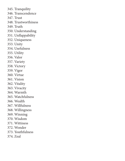345. Tranquility 346. Transcendence 347. Trust 348. Trustworthiness 349. Truth 350. Understanding 351. Unflappability 352. Uniqueness 353. Unity 354. Usefulness 355. Utility 356. Valor 357. Variety 358. Victory 359. Vigor 360. Virtue 361. Vision 362. Vitality 363. Vivacity 364. Warmth 365. Watchfulness 366. Wealth 367. Willfulness 368. Willingness 369. Winning 370. Wisdom 371. Wittiness 372. Wonder 373. Youthfulness 374. Zeal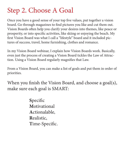### Step 2. Choose A Goal

Once you have a good sense of your top five values, put together a vision board. Go through magazines to find pictures you like and cut them out. Vision Boards often help you clarify your desires into themes, like peace or prosperity, or into specific activities, like skiing or enjoying the beach. My first Vision Board was what I call a "lifestyle" board and it included pictures of success, travel, home furnishing, clothes and romance.

In my Vision Board webinar, I explain how Vision Boards work. Basically, even just the process of creating a Vision Board tickles the Law of Attraction. Using a Vision Board regularly magnifies that Law.

From a Vision Board, you can make a list of goals and put them in order of priorities.

When you finish the Vision Board, and choose a goal(s), make sure each goal is SMART:

> **S**pecific **M**otivational **A**ctionalable, **R**ealistic, **T**ime-Specific.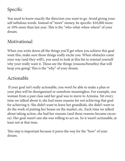### Specific

You need to know exactly the direction you want to go. Avoid giving yourself nebulous words. Instead of "more" money, be specific: \$10,000 more or 10% more than last year. This is the "who-what-when-where" of your dream.

#### Motivational

When you write down all the things you'll get when you achieve this goal want this, make sure those things really excite you. When obstacles come your way (and they will!), you need to look at this list to remind yourself why your really want it. Those are the things (reasons/benefits) that will keep you going! This is the "why" of your dream.

#### Actionable

 If your goal isn't really actionable, you won't be able to make a plan or your plan will be disorganized or somehow meaningless. For example, one woman from a past class said her goal was to move to Arizona. Yet every time we talked about it, she had more reasons for not achieving that goal for achieving it. She didn't want to leave her grandkids, she didn't want to do the work of putting her house on the market, etc. Each time we talked about taking action, she had her reasons (and those reasons became excuses). Her goal wasn't one she was willing to act on. So it wasn't actionable, at least not at that time.

This step is important because it paves the way for the "how" of your dream.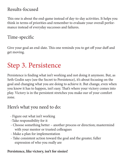#### Results-focused

This one is about the end-game instead of day-to-day activities. It helps you think in terms of priorities and remember to evaluate your overall performance instead of everyday successes and failures.

#### Time-specific

Give your goal an end-date. This one reminds you to get off your duff and get moving.

# Step 3. Persistence

Persistence is finding what isn't working and not doing it anymore. But, as Seth Godin says (see the Secret to Persistence), it's about focusing on the goal and changing what you are doing to achieve it. But change, even when you know it has to happen, isn't easy. That's where your victory comes into play. Victory is in the persistent stretches you make our of your comfort zone.

#### Here's what you need to do:

- Figure out what isn't working
- -Take responsibility for it
- Choose something better another process or direction; mastermind with your mentor or trusted colleagues
- Make a plan for implementation
- Take consistent action toward the goal and the greater, fuller expression of who you really are

#### **Persistence, like victory, isn't for sissies!**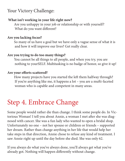#### Your Victory Challenge:

#### **What isn't working in your life right now?**

 Are you unhappy in your job or relationship or with yourself? What do you want different?

#### **Are you lacking focus?**

 So many of us have a goal but we have only a vague sense of what it is and how it will improve our lives? Get really clear.

#### **Are you trying to do too many things?**

 You cannot be all things to all people, and when you try, you are nothing to yourSELF. Multitasking is no badge of honor, so give it up!

#### **Are your efforts scattered?**

 How many projects have you started the left them halfway through? If you're anything like me, it happens a lot – you are a mufti-faceted woman who is capable and competent in many areas.

# Step 4. Embrace Change

Some people would rather die than change. I think some people do. In Victorious Woman! I tell you about Annie, a woman I met after she was diagnosed with cancer. She was a fun lady who wanted to open a bridal shop. Unfortunately no one – not her spouse or children or friends – supported her dream. Rather than change anything in her life that would help her take steps in that direction, Annie chose to refuse any kind of treatment. I saw Annie right up until the day before she died. She was only 62.

If you always do what you've always done, you'll always get what you've already got. Nothing will happen differently without change.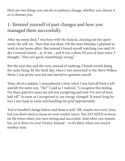Here are two things you can do to embrace change, whether you choose it or it chooses you:

### 1- Remind yourself of past changes and how you managed them successfully.

After my mom died, I was busy with the funeral, clearing out her apartment, the will, etc. Then that was done. On the next Monday, I planned to work in my home office. But instead I found myself watching Law and Order Criminal Intent…at 10 am…and it was a show I'd seen at least twice. I thought, "This isn't good. Something's wrong."

But the next day, and the next, instead of working, I found myself doing the same thing. By the third day, when I was immersed in the Steve Wilkos Show, I was pretty worried and started to question myself.

Then, all of a sudden, I remembered a time when I was laid off from a job and felt the same way. "Ha!" I said as I realized, "I recognize this feeling. For these past few years my job was caregiving and now I've sort of been laid-off." As soon as I recognized it, my energy changed. It wasn't long before I was back to work and handling my grief appropriately.

You've handled change before and done it well. OK, maybe not every time, but you don't need to focus on your weaker times. You DO NEED to focus on the times when you were strong and successful. And when you remember, jot it down in your Victory Journal – so it's there when you need it another time.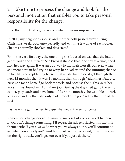2 - Take time to process the change and look for the personal motivation that enables you to take personal responsibility for the change.

Find the thing that is good – even when it seems impossible.

In 2009, my neighbor's spouse and mother both passed away during Christmas week, both unexpectedly and within a few days of each other. She was naturally shocked and devastated.

From the very first days, the one thing she focused on was that she had to get through the first year. She knew if she did that, one day at a time, she'd find her way again. It was an odd way to motivate herself, but even when she spent days in bed trying to wrap her head around the stunning changes in her life, she kept telling herself that all she had to do it get through the next 12 months, then it was 11 months, then through Valentine's Day, etc. Next she made herself go back to work, and because the nights were her worst times, found an 11pm-7am job. During the day she'd go to the senior center, play cards and have lunch. After nine months, she was able to work a day job and by then she only had 3 months to go. And by the time of the first

Last year she got married to a guy she met at the senior center.

Remember: change doesn't guarantee success but success won't happen if you don't change something. I'll repeat the adage I started this month's theme with: If you always do what you've always done, you'll continue to get what you already got." And humorist Will Rogers said, "Even if you're on the right track, you'll get run over if you just sit there."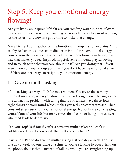# Step 5. Keep you emotional energy flowing!

Are you living an inspired life? Or are you treading water in a sea of overcare – and on your way to a drowning burnout? If you're like most women, it's the latter – and now is a good time to make that change.

Mira Kirshenbaum, author of The Emotional Energy Factor, explains, "Just as physical energy comes from diet, exercise and rest, emotional energy comes from the ways you take care of yourself emotionally — living in a way that makes you feel inspired, hopeful, self-confident, playful, loving and in touch with what you care about most." Are you doing that? If you aren't, how can you jazz up your life if you don't have the emotional energy? Here are three ways to re-ignite your emotional energy:

#### 1 – Give up multi-tasking.

Multi-tasking is a way of life for most women. You try to do so many things at once and, when you don't, you feel as though you're letting someone down. The problem with doing that is you always have three-foureight things on your mind which makes you feel constantly stressed. That constant stress sucks up your emotional energy. Not only are you cheating yourself out of your life, but many times that feeling of being always-overwhelmed leads to depression.

Can you stop? Yes! But if you're a constant multi-tasker and can't go cold-turkey. How do you break the multi-tasking habit?

Start small. Pan to do give up multi-tasking just one day a week. For just one day a week, do one thing at a time. If you are talking to your friend on the phone, do just that – instead of talking while you're straightening up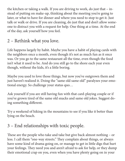the kitchen or taking a walk. If you are driving to work, do just that – instead of putting on make-up, thinking about the meeting you're going to later, or what to have for dinner and where you need to stop to get it. Just talk or walk or drive. If you are cleaning, do just that and don't allow someone to distract you with a request for help. One thing at a time. At the end of the day, ask yourself how you feel.

### 2 – Rethink what you love.

Life happens largely by habit. Maybe you have a habit of playing cards with the neighbors once a month, even though it's not as much fun as it once was. Or you go to the same restaurant all the time, even though the food isn't what it used to be. And do you still go to the shore each year even though, without the kids, it's a little boring.

Maybe you used to love those things, but now you've outgrown them and just haven't realized it. Doing the "same old same old" paralyzes your emotional energy. So challenge your status quo…

Ask yourself if you are still having fun with that card-playing couple or if you've grown tired of the same old snacks and same old jokes. Suggest doing something different.

Try a weekend of hiking in the mountains to see if you like it better than lying on the beach.

### 3 – End relationships with toxic people.

These are the people who take and take but give back almost nothing – or less. I call them "one-way streets." They complain about things, or always have some kind of drama going on, or manage to get in little digs that hurt your feelings. They need you and aren't afraid to ask for help, or they dump their emotional crap on you, even when you have plenty going on in your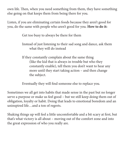own life. Then, when you need something from them, they have something else going on that keeps them from being there for you.

Listen, if you are eliminating certain foods because they aren't good for you, do the same with people who aren't good for you. **How to do it:**

Get too busy to always be there for them

Instead of just listening to their sad song and dance, ask them what they will do instead

If they constantly complain about the same thing (like the kid that is always in trouble but who they constantly enable), tell them you don't want to hear any more until they start taking action – and then change the subject.

Eventually they will find someone else to replace you.

Sometimes we all get into habits that made sense in the past but no longer serve a purpose or make us feel good – but we still keep doing them out of obligation, loyalty or habit. Doing that leads to emotional boredom and an uninspired life…and a ton of regrets.

Shaking things up will feel a little uncomfortable and a bit scary at first, but that's what victory is all about – moving out of the comfort zone and into the great expression of who you really are.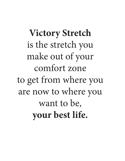**Victory Stretch** is the stretch you make out of your comfort zone to get from where you are now to where you want to be, **your best life.**